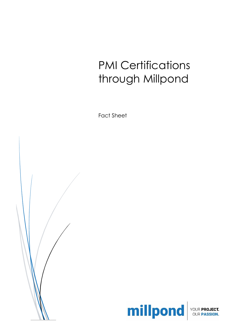# PMI Certifications through Millpond

Fact Sheet





ECT.<br>ON.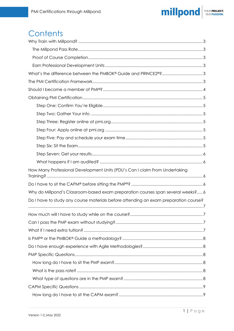

# Contents

| What's the difference between the PMBOK® Guide and PRINCE2®?3                        |  |
|--------------------------------------------------------------------------------------|--|
|                                                                                      |  |
|                                                                                      |  |
|                                                                                      |  |
|                                                                                      |  |
|                                                                                      |  |
|                                                                                      |  |
|                                                                                      |  |
|                                                                                      |  |
|                                                                                      |  |
|                                                                                      |  |
|                                                                                      |  |
| How Many Professional Development Units (PDU's Can I claim From Undertaking          |  |
|                                                                                      |  |
| Why do Millpond's Classroom-based exam preparation courses span several weeks? 6     |  |
| Do I have to study any course materials before attending an exam preparation course? |  |
|                                                                                      |  |
|                                                                                      |  |
|                                                                                      |  |
|                                                                                      |  |
|                                                                                      |  |
|                                                                                      |  |
|                                                                                      |  |
|                                                                                      |  |
|                                                                                      |  |
|                                                                                      |  |
|                                                                                      |  |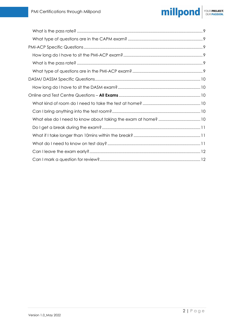#### millpond YOUR PROJECT.<br>OUR PASSION.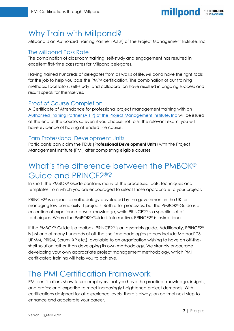

## <span id="page-3-0"></span>Why Train with Millpond?

Millpond is an Authorized Training Partner (A.T.P) of the Project Management Institute, Inc

### <span id="page-3-1"></span>The Millpond Pass Rate

The combination of classroom training, self-study and engagement has resulted in excellent first-time pass rates for Millpond delegates.

Having trained hundreds of delegates from all walks of life, Millpond have the right tools for the job to help you pass the PMP® certification. The combination of our training methods, facilitators, self-study, and collaboration have resulted in ongoing success and results speak for themselves.

### <span id="page-3-2"></span>Proof of Course Completion

A Certificate of Attendance for professional project management training with an [Authorized Training Partner \(A.T.P\) of the Project Management Institute, Inc](https://www.credly.com/badges/86a9e61e-139a-4d1d-92ca-feccef5405b9/embedded) will be issued at the end of the course, so even if you choose not to sit the relevant exam, you will have evidence of having attended the course.

#### <span id="page-3-3"></span>Earn Professional Development Units

Participants can claim the PDUs (**Professional Development Units**) with the Project Management Institute (PMI) after completing eligible courses.

# <span id="page-3-4"></span>What's the difference between the PMBOK® Guide and PRINCE2®?

In short, the PMBOK® Guide contains many of the processes, tools, techniques and templates from which you are encouraged to select those appropriate to your project.

PRINCE2® is a specific methodology developed by the government in the UK for managing low complexity IT projects. Both offer processes, but the PMBOK® Guide is a collection of experience-based knowledge, while PRINCE2® is a specific set of techniques. Where the PMBOK® Guide is informative, PRINCE2® is instructional.

If the PMBOK® Guide is a toolbox, PRINCE2® is an assembly guide. Additionally, PRINCE2® is just one of many hundreds of off-the-shelf methodologies (others include Method123, UPMM, PRISM, Scrum, XP etc.), available to an organization wishing to have an off-theshelf solution rather than developing its own methodology. We strongly encourage developing your own appropriate project management methodology, which PMI certificated training will help you to achieve.

# <span id="page-3-5"></span>The PMI Certification Framework

PMI certifications show future employers that you have the practical knowledge, insights, and professional expertise to meet increasingly heightened project demands. With certifications designed for all experience levels, there's always an optimal next step to enhance and accelerate your career.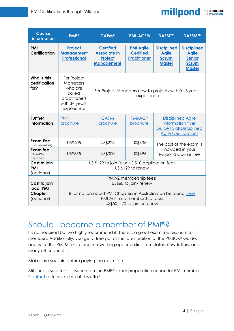

| <b>Course</b><br><b>information</b>                       | <b>PMP®</b>                                                                                                                                                                         | <b>CAPM®</b>                                                                   | <b>PMI-ACP®</b>                                             | <b>DASM™</b>                                                                                                    | <b>DASSM™</b>                                                                        |  |
|-----------------------------------------------------------|-------------------------------------------------------------------------------------------------------------------------------------------------------------------------------------|--------------------------------------------------------------------------------|-------------------------------------------------------------|-----------------------------------------------------------------------------------------------------------------|--------------------------------------------------------------------------------------|--|
| <b>PMI</b><br><b>Certification</b>                        | Project<br><b>Management</b><br><b>Professional</b>                                                                                                                                 | <b>Certified</b><br><b>Associate in</b><br><b>Project</b><br><b>Management</b> | <b>PMI Agile</b><br><b>Certified</b><br><b>Practitioner</b> | <b>Disciplined</b><br><b>Agile</b><br><b>Scrum</b><br><b>Master</b>                                             | <b>Disciplined</b><br><b>Agile</b><br><b>Senior</b><br><b>Scrum</b><br><b>Master</b> |  |
| Who is this<br>certification<br>for?                      | For Project<br>Managers<br>who are<br>skilled<br>practitioners<br>with 3+ years'<br>experience                                                                                      | For Project Managers new to projects with 0 - 3 years'<br>experience           |                                                             |                                                                                                                 |                                                                                      |  |
| <b>Further</b><br>information                             | <b>PMP</b><br>brochure                                                                                                                                                              | CAPM<br>brochure                                                               | <b>PMI-ACP</b><br>brochure                                  | <b>Disciplined Agile</b><br>Information flyer<br><b>Guide to all Disciplined</b><br><b>Agile Certifications</b> |                                                                                      |  |
| <b>Exam Fee</b><br>(PMI member)                           | US\$405                                                                                                                                                                             | US\$225                                                                        | US\$435                                                     | The cost of the exam is<br>included in your<br>Millpond Course Fee                                              |                                                                                      |  |
| Exam fee<br>(Non-PMI<br>member)                           | <b>US\$555</b>                                                                                                                                                                      | US\$300                                                                        | US\$495                                                     |                                                                                                                 |                                                                                      |  |
| Cost to join<br><b>PMI</b><br>(optional)                  |                                                                                                                                                                                     | US \$129 to join (plus US \$10 application fee)<br>US \$129 to renew           |                                                             |                                                                                                                 |                                                                                      |  |
| Cost to join<br><b>local PMI</b><br>Chapter<br>(optional) | PMINZ membership fees:<br>US\$60 to join/ renew<br>Information about PMI Chapters in Australia can be found here<br>PMI Australia membership fees:<br>$US$50 - 70$ to join or renew |                                                                                |                                                             |                                                                                                                 |                                                                                      |  |

## <span id="page-4-0"></span>Should I become a member of PMI®?

It's not required but we highly recommend it. There is a great exam fee discount for members. Additionally, you get a free pdf of the latest edition of the PMBOK® Guide, access to the PMI Marketplace, networking opportunities, templates, newsletters, and many other benefits.

Make sure you join before paying the exam fee.

Millpond also offers a discount on the PMP® exam preparation course for PMI members. [Contact us](mailto:info@millpond.co.nz) to make use of this offer!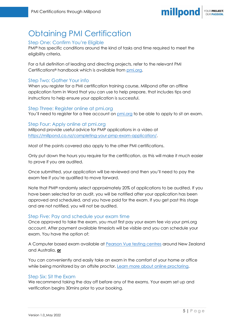

# <span id="page-5-0"></span>Obtaining PMI Certification

#### <span id="page-5-1"></span>Step One: Confirm You're Eligible

PMI® has specific conditions around the kind of tasks and time required to meet the eligibility criteria.

For a full definition of leading and directing projects, refer to the relevant PMI Certifications® handbook which is available from [pmi.org.](https://www.pmi.org/certifications/become-a-project-manager/certification-framework)

#### <span id="page-5-2"></span>Step Two: Gather Your info

When you register for a PMI certification training course, Millpond offer an offline application form in Word that you can use to help prepare, that includes tips and instructions to help ensure your application is successful.

#### <span id="page-5-3"></span>Step Three: Register online at pmi.org

You'll need to register for a free account on [pmi.org](https://idp.pmi.org/register) to be able to apply to sit an exam.

<span id="page-5-4"></span>Step Four: Apply online at pmi.org Millpond provide useful advice for PMP applications in a video at [https://millpond.co.nz/completing-your-pmp-exam-application/.](https://millpond.co.nz/completing-your-pmp-exam-application/)

Most of the points covered also apply to the other PMI certifications.

Only put down the hours you require for the certification, as this will make it much easier to prove if you are audited.

Once submitted, your application will be reviewed and then you'll need to pay the exam fee if you're qualified to move forward.

Note that PMI® randomly select approximately 20% of applications to be audited. If you have been selected for an audit, you will be notified after your application has been approved and scheduled, and you have paid for the exam. If you get past this stage and are not notified, you will not be audited.

#### <span id="page-5-5"></span>Step Five: Pay and schedule your exam time

Once approved to take the exam, you must first pay your exam fee via your pmi.org account. After payment available timeslots will be visible and you can schedule your exam. You have the option of:

A Computer based exam available at [Pearson Vue testing centres](https://wsr.pearsonvue.com/testtaker/registration/SelectTestCenterProximity/PMI?conversationId=170961) around New Zealand and Australia, **or**

You can conveniently and easily take an exam in the comfort of your home or office while being monitored by an offsite proctor. [Learn more about online proctoring.](https://home.pearsonvue.com/pmi/onvue)

#### <span id="page-5-6"></span>Step Six: Sit the Exam

We recommend taking the day off before any of the exams. Your exam set up and verification begins 30mins prior to your booking.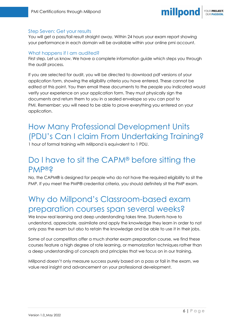

#### <span id="page-6-0"></span>Step Seven: Get your results

You will get a pass/fail result straight away. Within 24 hours your exam report showing your performance in each domain will be available within your online pmi account.

#### <span id="page-6-1"></span>What happens if I am audited?

First step. Let us know. We have a complete information guide which steps you through the audit process.

If you are selected for audit, you will be directed to download pdf versions of your application form, showing the eligibility criteria you have entered. These cannot be edited at this point. You then email these documents to the people you indicated would verify your experience on your application form. They must physically sign the documents and return them to you in a sealed envelope so you can post to PMI. Remember: you will need to be able to prove everything you entered on your application.

# <span id="page-6-2"></span>How Many Professional Development Units (PDU's Can I claim From Undertaking Training?

1 hour of formal training with Millpond is equivalent to 1 PDU.

### <span id="page-6-3"></span>Do I have to sit the CAPM® before sitting the PMP®?

No, the CAPM® is designed for people who do not have the required eligibility to sit the PMP. If you meet the PMP® credential criteria, you should definitely sit the PMP exam.

### <span id="page-6-4"></span>Why do Millpond's Classroom-based exam preparation courses span several weeks?

We know real learning and deep understanding takes time. Students have to understand, appreciate, assimilate and apply the knowledge they learn in order to not only pass the exam but also to retain the knowledge and be able to use it in their jobs.

Some of our competitors offer a much shorter exam preparation course, we find these courses feature a high degree of rote learning, or memorization techniques rather than a deep understanding of concepts and principles that we focus on in our training.

Millpond doesn't only measure success purely based on a pass or fail in the exam, we value real insight and advancement on your professional development.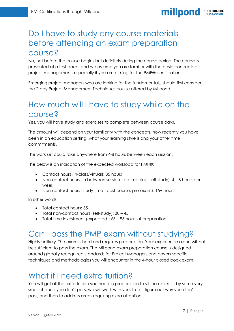#### millpond YOUR PROJECT.

# <span id="page-7-0"></span>Do I have to study any course materials before attending an exam preparation course?

No, not before the course begins but definitely during the course period. The course is presented at a fast pace, and we assume you are familiar with the basic concepts of project management, especially if you are aiming for the PMP® certification.

Emerging project managers who are looking for the fundamentals, should first consider the 2-day Project Management Techniques course offered by Millpond.

# <span id="page-7-1"></span>How much will I have to study while on the course?

Yes, you will have study and exercises to complete between course days.

The amount will depend on your familiarity with the concepts, how recently you have been in an education setting, what your learning style is and your other time commitments.

The work set could take anywhere from 4-8 hours between each session.

The below is an indication of the expected workload for PMP®:

- Contact hours (In-class/virtual): 35 hours
- Non-contact hours (in between session pre-reading, self-study): 4 8 hours per week
- Non-contact hours (study time post course, pre-exam): 15+ hours

In other words:

- Total contact hours: 35
- Total non-contact hours (self-study): 30 45
- Total time investment (expected): 65 95 hours of preparation

## <span id="page-7-2"></span>Can I pass the PMP exam without studying?

Highly unlikely. The exam is hard and requires preparation. Your experience alone will not be sufficient to pass the exam. The Millpond exam preparation course is designed around globally recognized standards for Project Managers and covers specific techniques and methodologies you will encounter in the 4-hour closed book exam.

# <span id="page-7-3"></span>What if I need extra tuition?

You will get all the extra tuition you need in preparation to sit the exam. If, by some very small chance you don't pass, we will work with you, to first figure out why you didn't pass, and then to address areas requiring extra attention.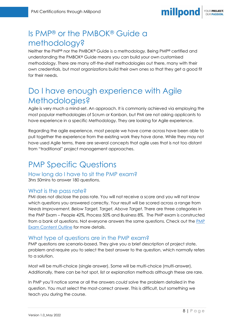

# <span id="page-8-0"></span>Is PMP® or the PMBOK® Guide a methodology?

Neither the PMP® nor the PMBOK® Guide is a methodology. Being PMP® certified and understanding the PMBOK® Guide means you can build your own customised methodology. There are many off-the-shelf methodologies out there, many with their own credentials, but most organizations build their own ones so that they get a good fit for their needs.

# <span id="page-8-1"></span>Do I have enough experience with Agile Methodologies?

Agile is very much a mind-set. An approach. It is commonly achieved via employing the most popular methodologies of Scrum or Kanban, but PMI are not asking applicants to have experience in a specific Methodology. They are looking for Agile experience.

Regarding the agile experience, most people we have come across have been able to pull together the experience from the existing work they have done. While they may not have used Agile terms, there are several concepts that agile uses that is not too distant from "traditional" project management approaches.

# <span id="page-8-2"></span>PMP Specific Questions

<span id="page-8-3"></span>How long do I have to sit the PMP exam? 3hrs 50mins to answer 180 questions.

### <span id="page-8-4"></span>What is the pass rate?

PMI does not disclose the pass rate. You will not receive a score and you will not know which questions you answered correctly. Your result will be scored across a range from *Needs Improvement, Below Target, Target, Above Target.* There are three categories in the PMP Exam – People 42%, Process 50% and Business 8%. The PMP exam is constructed from a bank of questions. Not everyone answers the same questions. Check out the [PMP](chrome-extension://efaidnbmnnnibpcajpcglclefindmkaj/https:/www.pmi.org/-/media/pmi/documents/public/pdf/certifications/project-management-professional-exam-outline.pdf?v=513207d4-8055-4cf4-a8f5-3c7ec94de816)  [Exam Content Outline](chrome-extension://efaidnbmnnnibpcajpcglclefindmkaj/https:/www.pmi.org/-/media/pmi/documents/public/pdf/certifications/project-management-professional-exam-outline.pdf?v=513207d4-8055-4cf4-a8f5-3c7ec94de816) for more details.

#### <span id="page-8-5"></span>What type of questions are in the PMP exam?

PMP questions are scenario-based. They give you a brief description of project state, problem and require you to select the best answer to the question, which normally refers to a solution.

Most will be multi-choice (single answer). Some will be multi-choice (multi-answer). Additionally, there can be hot spot, list or explanation methods although these are rare.

In PMP you'll notice some or all the answers *could* solve the problem detailed in the question. You must select the most-correct answer. This is difficult, but something we teach you during the course.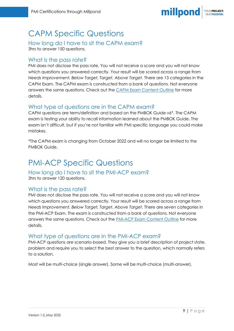# <span id="page-9-0"></span>CAPM Specific Questions

### <span id="page-9-1"></span>How long do I have to sit the CAPM exam?

3hrs to answer 150 questions.

### <span id="page-9-2"></span>What is the pass rate?

PMI does not disclose the pass rate. You will not receive a score and you will not know which questions you answered correctly. Your result will be scored across a range from *Needs Improvement, Below Target, Target, Above Target.* There are 13 categories in the CAPM Exam. The CAPM exam is constructed from a bank of questions. Not everyone answers the same questions. Check out the **CAPM Exam Content Outline** for more details.

### <span id="page-9-3"></span>What type of questions are in the CAPM exam?

CAPM questions are term/definition and based on the PMBOK Guide v6\*. The CAPM exam is testing your ability to recall information learned about the PMBOK Guide. The exam isn't difficult, but if you're not familiar with PMI specific language you could make mistakes.

\*The CAPM exam is changing from October 2022 and will no longer be limited to the PMBOK Guide.

# <span id="page-9-4"></span>PMI-ACP Specific Questions

#### <span id="page-9-5"></span>How long do I have to sit the PMI-ACP exam? 3hrs to answer 120 questions.

### <span id="page-9-6"></span>What is the pass rate?

PMI does not disclose the pass rate. You will not receive a score and you will not know which questions you answered correctly. Your result will be scored across a range from *Needs Improvement, Below Target, Target, Above Target.* There are seven categories in the PMI-ACP Exam. The exam is constructed from a bank of questions. Not everyone answers the same questions. Check out the [PMI-ACP Exam Content Outline](chrome-extension://efaidnbmnnnibpcajpcglclefindmkaj/https:/www.pmi.org/-/media/pmi/documents/public/pdf/certifications/agile-certified-exam-outline.pdf) for more details.

#### <span id="page-9-7"></span>What type of questions are in the PMI-ACP exam?

PMI-ACP questions are scenario-based. They give you a brief description of project state, problem and require you to select the best answer to the question, which normally refers to a solution.

Most will be multi-choice (single answer). Some will be multi-choice (multi-answer).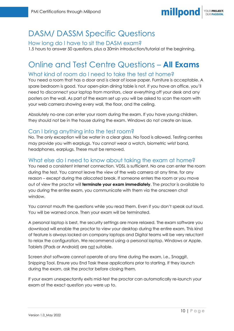

## <span id="page-10-0"></span>DASM/ DASSM Specific Questions

<span id="page-10-1"></span>How long do I have to sit the DASM exam? 1.5 hours to answer 50 questions, plus a 30min introduction/tutorial at the beginning.

# <span id="page-10-2"></span>Online and Test Centre Questions – **All Exams**

### <span id="page-10-3"></span>What kind of room do I need to take the test at home?

You need a room that has a door and is clear of loose paper. Furniture is acceptable. A spare bedroom is good. Your open-plan dining table is not. If you have an office, you'll need to disconnect your laptop from monitors, clear everything off your desk and any posters on the wall. As part of the exam set up you will be asked to scan the room with your web camera showing every wall, the floor, and the ceiling.

Absolutely no-one can enter your room during the exam. If you have young children, they should not be in the house during the exam. Windows do not create an issue.

### <span id="page-10-4"></span>Can I bring anything into the test room?

No. The only exception will be water in a clear glass. No food is allowed. Testing centres may provide you with earplugs. You cannot wear a watch, biometric wrist band, headphones, earplugs. These must be removed.

### <span id="page-10-5"></span>What else do I need to know about taking the exam at home?

You need a consistent internet connection. VDSL is sufficient. No one can enter the room during the test. You cannot leave the view of the web camera at any time, for any reason – except during the allocated break. If someone enters the room or you move out of view the proctor will **terminate your exam immediately**. The proctor is available to you during the entire exam, you communicate with them via the onscreen chat window.

You cannot mouth the questions while you read them. Even if you don't speak out loud. You will be warned once. Then your exam will be terminated.

A personal laptop is best, the security settings are more relaxed. The exam software you download will enable the proctor to view your desktop during the entire exam. This kind of feature is always locked on company laptops and Digital teams will be very reluctant to relax the configuration. We recommend using a personal laptop. Windows or Apple. Tablets (iPads or Android) are not suitable.

Screen shot software cannot operate at any time during the exam, i.e., Snaggit, Snipping Tool. Ensure you End Task these applications prior to starting. If they launch during the exam, ask the proctor before closing them.

If your exam unexpectantly exits mid-test the proctor can automatically re-launch your exam at the exact question you were up to.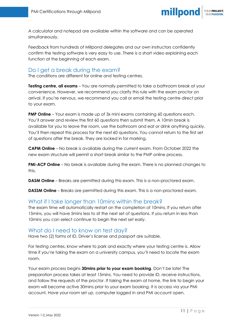

A calculator and notepad are available within the software and can be operated simultaneously.

Feedback from hundreds of Millpond delegates and our own instructors confidently confirm the testing software is very easy to use. There is a short video explaining each function at the beginning of each exam.

#### <span id="page-11-0"></span>Do I get a break during the exam?

The conditions are different for online and testing centres.

**Testing centre, all exams** – You are normally permitted to take a bathroom break at your convenience. However, we recommend you clarify this rule with the exam proctor on arrival. If you're nervous, we recommend you call or email the testing centre direct prior to your exam.

**PMP Online** – Your exam is made up of 3x mini exams containing 60 questions each. You'll answer and review the first 60 questions then submit them. A 10min break is available for you to leave the room, use the bathroom and eat or drink anything quickly. You'll then repeat this process for the next 60 questions. You cannot return to the first set of questions after the break. They are locked in for marking.

**CAPM Online** – No break is available during the current exam. From October 2022 the new exam structure will permit a short break similar to the PMP online process.

**PMI-ACP Online** – No break is available during the exam. There is no planned changes to this.

**DASM Online** – Breaks are permitted during this exam. This is a non-proctored exam.

**DASSM Online** – Breaks are permitted during this exam. This is a non-proctored exam.

#### <span id="page-11-1"></span>What if I take longer than 10mins within the break?

The exam time will automatically restart on the completion of 10mins. If you return after 15mins, you will have 5mins less to sit the next set of questions. If you return in less than 10mins you can select continue to begin the next set early.

#### <span id="page-11-2"></span>What do I need to know on test day?

Have two (2) forms of ID. Driver's license and passport are suitable.

For testing centres, know where to park and exactly where your testing centre is. Allow time if you're taking the exam on a university campus, you'll need to locate the exam room.

Your exam process begins **30mins prior to your exam booking**. Don't be late! The preparation process takes at least 15mins. You need to provide ID, receive instructions, and follow the requests of the proctor. If taking the exam at home, the link to begin your exam will become active 30mins prior to your exam booking. It is access via your PMI account. Have your room set up, computer logged in and PMI account open.